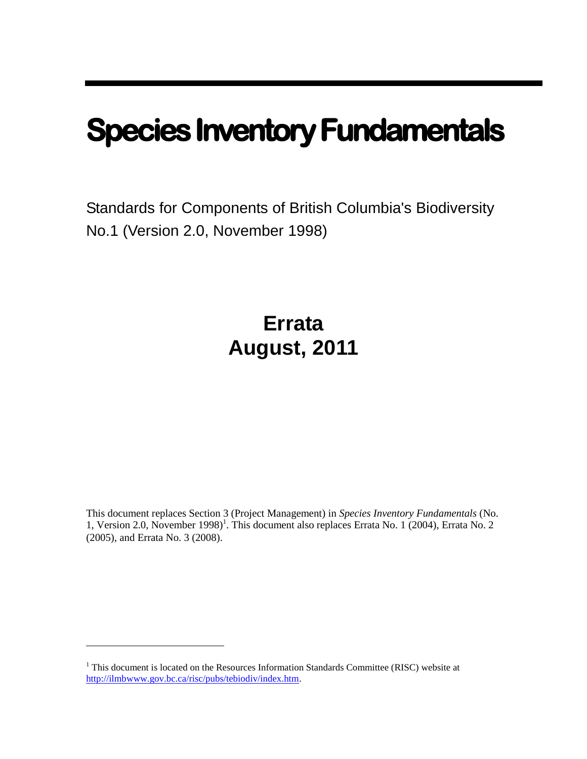# **Species Inventory Fundamentals**

Standards for Components of British Columbia's Biodiversity No.1 (Version 2.0, November 1998)

## **Errata August, 2011**

This document replaces Section 3 (Project Management) in *Species Inventory Fundamentals* (No. 1, Version 2.0, November 1998)<sup>1</sup>. This document also replaces Errata No. 1 (2004), Errata No. 2 (2005), and Errata No. 3 (2008).

 $1$ <sup>1</sup> This document is located on the Resources Information Standards Committee (RISC) website at [http://ilmbwww.gov.bc.ca/risc/pubs/tebiodiv/index.htm.](http://ilmbwww.gov.bc.ca/risc/pubs/tebiodiv/index.htm)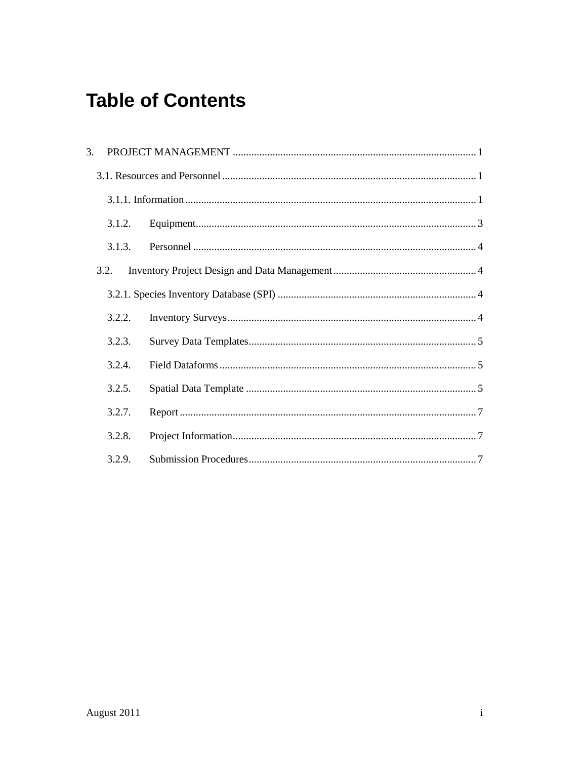## **Table of Contents**

| 3.   |        |  |
|------|--------|--|
|      |        |  |
|      |        |  |
|      | 3.1.2. |  |
|      | 3.1.3. |  |
| 3.2. |        |  |
|      |        |  |
|      | 3.2.2. |  |
|      | 3.2.3. |  |
|      | 3.2.4. |  |
|      | 3.2.5. |  |
|      | 3.2.7. |  |
|      | 3.2.8. |  |
|      | 3.2.9. |  |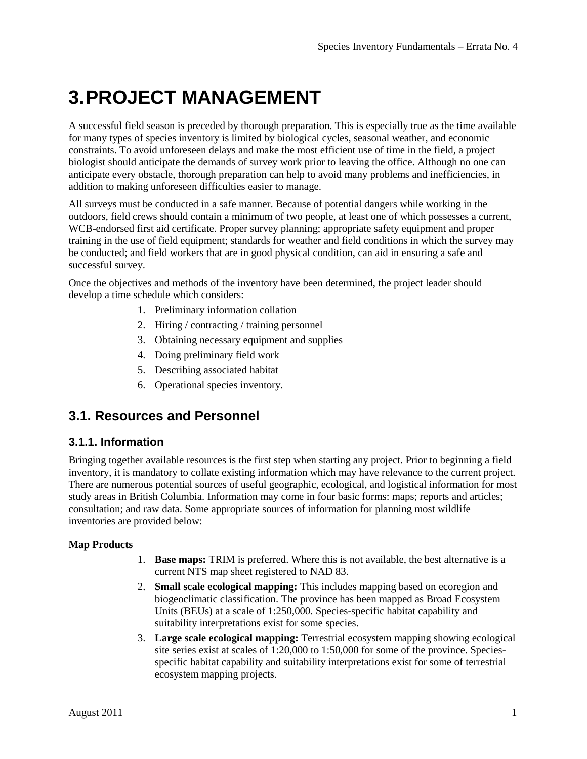## **3.PROJECT MANAGEMENT**

A successful field season is preceded by thorough preparation. This is especially true as the time available for many types of species inventory is limited by biological cycles, seasonal weather, and economic constraints. To avoid unforeseen delays and make the most efficient use of time in the field, a project biologist should anticipate the demands of survey work prior to leaving the office. Although no one can anticipate every obstacle, thorough preparation can help to avoid many problems and inefficiencies, in addition to making unforeseen difficulties easier to manage.

All surveys must be conducted in a safe manner. Because of potential dangers while working in the outdoors, field crews should contain a minimum of two people, at least one of which possesses a current, WCB-endorsed first aid certificate. Proper survey planning; appropriate safety equipment and proper training in the use of field equipment; standards for weather and field conditions in which the survey may be conducted; and field workers that are in good physical condition, can aid in ensuring a safe and successful survey.

Once the objectives and methods of the inventory have been determined, the project leader should develop a time schedule which considers:

- 1. Preliminary information collation
- 2. Hiring / contracting / training personnel
- 3. Obtaining necessary equipment and supplies
- 4. Doing preliminary field work
- 5. Describing associated habitat
- 6. Operational species inventory.

## **3.1. Resources and Personnel**

## **3.1.1. Information**

Bringing together available resources is the first step when starting any project. Prior to beginning a field inventory, it is mandatory to collate existing information which may have relevance to the current project. There are numerous potential sources of useful geographic, ecological, and logistical information for most study areas in British Columbia. Information may come in four basic forms: maps; reports and articles; consultation; and raw data. Some appropriate sources of information for planning most wildlife inventories are provided below:

### **Map Products**

- 1. **Base maps:** TRIM is preferred. Where this is not available, the best alternative is a current NTS map sheet registered to NAD 83.
- 2. **Small scale ecological mapping:** This includes mapping based on ecoregion and biogeoclimatic classification. The province has been mapped as Broad Ecosystem Units (BEUs) at a scale of 1:250,000. Species-specific habitat capability and suitability interpretations exist for some species.
- 3. **Large scale ecological mapping:** Terrestrial ecosystem mapping showing ecological site series exist at scales of 1:20,000 to 1:50,000 for some of the province. Speciesspecific habitat capability and suitability interpretations exist for some of terrestrial ecosystem mapping projects.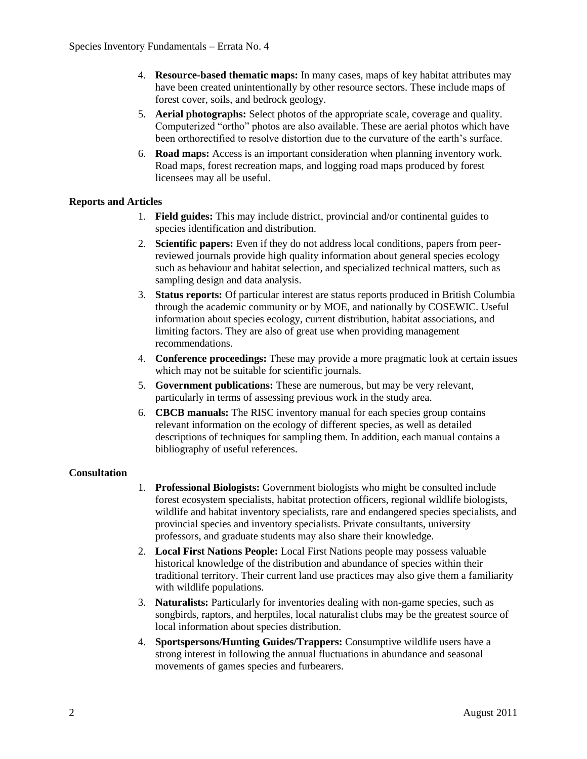- 4. **Resource-based thematic maps:** In many cases, maps of key habitat attributes may have been created unintentionally by other resource sectors. These include maps of forest cover, soils, and bedrock geology.
- 5. **Aerial photographs:** Select photos of the appropriate scale, coverage and quality. Computerized "ortho" photos are also available. These are aerial photos which have been orthorectified to resolve distortion due to the curvature of the earth's surface.
- 6. **Road maps:** Access is an important consideration when planning inventory work. Road maps, forest recreation maps, and logging road maps produced by forest licensees may all be useful.

## **Reports and Articles**

- 1. **Field guides:** This may include district, provincial and/or continental guides to species identification and distribution.
- 2. **Scientific papers:** Even if they do not address local conditions, papers from peerreviewed journals provide high quality information about general species ecology such as behaviour and habitat selection, and specialized technical matters, such as sampling design and data analysis.
- 3. **Status reports:** Of particular interest are status reports produced in British Columbia through the academic community or by MOE, and nationally by COSEWIC. Useful information about species ecology, current distribution, habitat associations, and limiting factors. They are also of great use when providing management recommendations.
- 4. **Conference proceedings:** These may provide a more pragmatic look at certain issues which may not be suitable for scientific journals.
- 5. **Government publications:** These are numerous, but may be very relevant, particularly in terms of assessing previous work in the study area.
- 6. **CBCB manuals:** The RISC inventory manual for each species group contains relevant information on the ecology of different species, as well as detailed descriptions of techniques for sampling them. In addition, each manual contains a bibliography of useful references.

### **Consultation**

- 1. **Professional Biologists:** Government biologists who might be consulted include forest ecosystem specialists, habitat protection officers, regional wildlife biologists, wildlife and habitat inventory specialists, rare and endangered species specialists, and provincial species and inventory specialists. Private consultants, university professors, and graduate students may also share their knowledge.
- 2. **Local First Nations People:** Local First Nations people may possess valuable historical knowledge of the distribution and abundance of species within their traditional territory. Their current land use practices may also give them a familiarity with wildlife populations.
- 3. **Naturalists:** Particularly for inventories dealing with non-game species, such as songbirds, raptors, and herptiles, local naturalist clubs may be the greatest source of local information about species distribution.
- 4. **Sportspersons/Hunting Guides/Trappers:** Consumptive wildlife users have a strong interest in following the annual fluctuations in abundance and seasonal movements of games species and furbearers.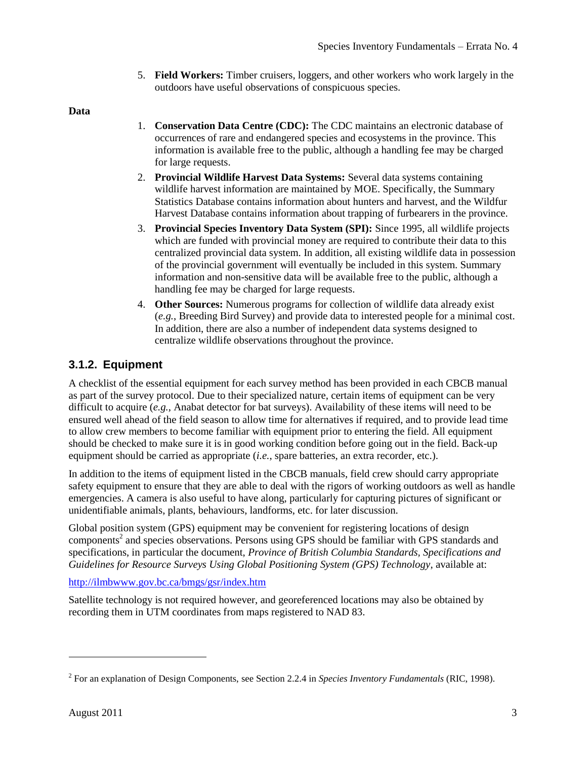5. **Field Workers:** Timber cruisers, loggers, and other workers who work largely in the outdoors have useful observations of conspicuous species.

**Data**

- 1. **Conservation Data Centre (CDC):** The CDC maintains an electronic database of occurrences of rare and endangered species and ecosystems in the province. This information is available free to the public, although a handling fee may be charged for large requests.
- 2. **Provincial Wildlife Harvest Data Systems:** Several data systems containing wildlife harvest information are maintained by MOE. Specifically, the Summary Statistics Database contains information about hunters and harvest, and the Wildfur Harvest Database contains information about trapping of furbearers in the province.
- 3. **Provincial Species Inventory Data System (SPI):** Since 1995, all wildlife projects which are funded with provincial money are required to contribute their data to this centralized provincial data system. In addition, all existing wildlife data in possession of the provincial government will eventually be included in this system. Summary information and non-sensitive data will be available free to the public, although a handling fee may be charged for large requests.
- 4. **Other Sources:** Numerous programs for collection of wildlife data already exist (*e.g.*, Breeding Bird Survey) and provide data to interested people for a minimal cost. In addition, there are also a number of independent data systems designed to centralize wildlife observations throughout the province.

## **3.1.2. Equipment**

A checklist of the essential equipment for each survey method has been provided in each CBCB manual as part of the survey protocol. Due to their specialized nature, certain items of equipment can be very difficult to acquire (*e.g.*, Anabat detector for bat surveys). Availability of these items will need to be ensured well ahead of the field season to allow time for alternatives if required, and to provide lead time to allow crew members to become familiar with equipment prior to entering the field. All equipment should be checked to make sure it is in good working condition before going out in the field. Back-up equipment should be carried as appropriate (*i.e.*, spare batteries, an extra recorder, etc.).

In addition to the items of equipment listed in the CBCB manuals, field crew should carry appropriate safety equipment to ensure that they are able to deal with the rigors of working outdoors as well as handle emergencies. A camera is also useful to have along, particularly for capturing pictures of significant or unidentifiable animals, plants, behaviours, landforms, etc. for later discussion.

Global position system (GPS) equipment may be convenient for registering locations of design components<sup>2</sup> and species observations. Persons using GPS should be familiar with GPS standards and specifications, in particular the document, *Province of British Columbia Standards, Specifications and Guidelines for Resource Surveys Using Global Positioning System (GPS) Technology*, available at:

## <http://ilmbwww.gov.bc.ca/bmgs/gsr/index.htm>

Satellite technology is not required however, and georeferenced locations may also be obtained by recording them in UTM coordinates from maps registered to NAD 83.

 $\overline{a}$ 

<sup>2</sup> For an explanation of Design Components, see Section 2.2.4 in *Species Inventory Fundamentals* (RIC, 1998).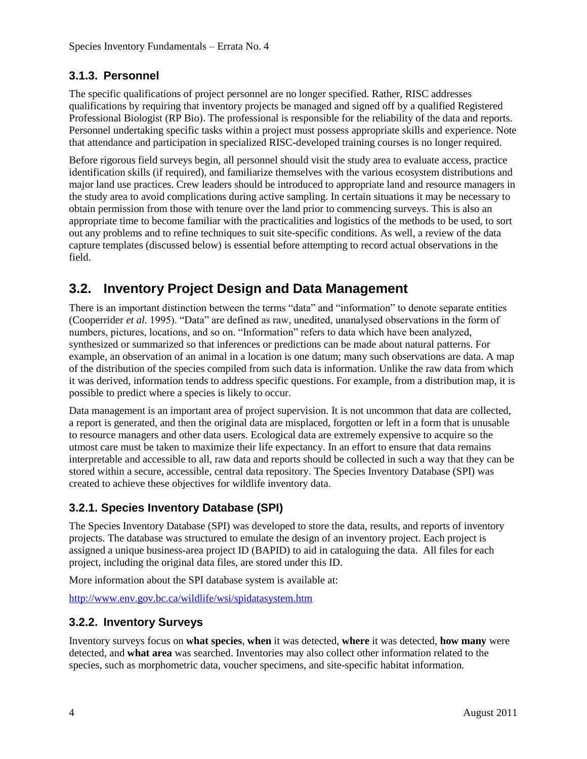## **3.1.3. Personnel**

The specific qualifications of project personnel are no longer specified. Rather, RISC addresses qualifications by requiring that inventory projects be managed and signed off by a qualified Registered Professional Biologist (RP Bio). The professional is responsible for the reliability of the data and reports. Personnel undertaking specific tasks within a project must possess appropriate skills and experience. Note that attendance and participation in specialized RISC-developed training courses is no longer required.

Before rigorous field surveys begin, all personnel should visit the study area to evaluate access, practice identification skills (if required), and familiarize themselves with the various ecosystem distributions and major land use practices. Crew leaders should be introduced to appropriate land and resource managers in the study area to avoid complications during active sampling. In certain situations it may be necessary to obtain permission from those with tenure over the land prior to commencing surveys. This is also an appropriate time to become familiar with the practicalities and logistics of the methods to be used, to sort out any problems and to refine techniques to suit site-specific conditions. As well, a review of the data capture templates (discussed below) is essential before attempting to record actual observations in the field.

## **3.2. Inventory Project Design and Data Management**

There is an important distinction between the terms "data" and "information" to denote separate entities (Cooperrider *et al.* 1995). "Data" are defined as raw, unedited, unanalysed observations in the form of numbers, pictures, locations, and so on. "Information" refers to data which have been analyzed, synthesized or summarized so that inferences or predictions can be made about natural patterns. For example, an observation of an animal in a location is one datum; many such observations are data. A map of the distribution of the species compiled from such data is information. Unlike the raw data from which it was derived, information tends to address specific questions. For example, from a distribution map, it is possible to predict where a species is likely to occur.

Data management is an important area of project supervision. It is not uncommon that data are collected, a report is generated, and then the original data are misplaced, forgotten or left in a form that is unusable to resource managers and other data users. Ecological data are extremely expensive to acquire so the utmost care must be taken to maximize their life expectancy. In an effort to ensure that data remains interpretable and accessible to all, raw data and reports should be collected in such a way that they can be stored within a secure, accessible, central data repository. The Species Inventory Database (SPI) was created to achieve these objectives for wildlife inventory data.

## **3.2.1. Species Inventory Database (SPI)**

The Species Inventory Database (SPI) was developed to store the data, results, and reports of inventory projects. The database was structured to emulate the design of an inventory project. Each project is assigned a unique business-area project ID (BAPID) to aid in cataloguing the data. All files for each project, including the original data files, are stored under this ID.

More information about the SPI database system is available at:

<http://www.env.gov.bc.ca/wildlife/wsi/spidatasystem.htm>

## **3.2.2. Inventory Surveys**

Inventory surveys focus on **what species**, **when** it was detected, **where** it was detected, **how many** were detected, and **what area** was searched. Inventories may also collect other information related to the species, such as morphometric data, voucher specimens, and site-specific habitat information.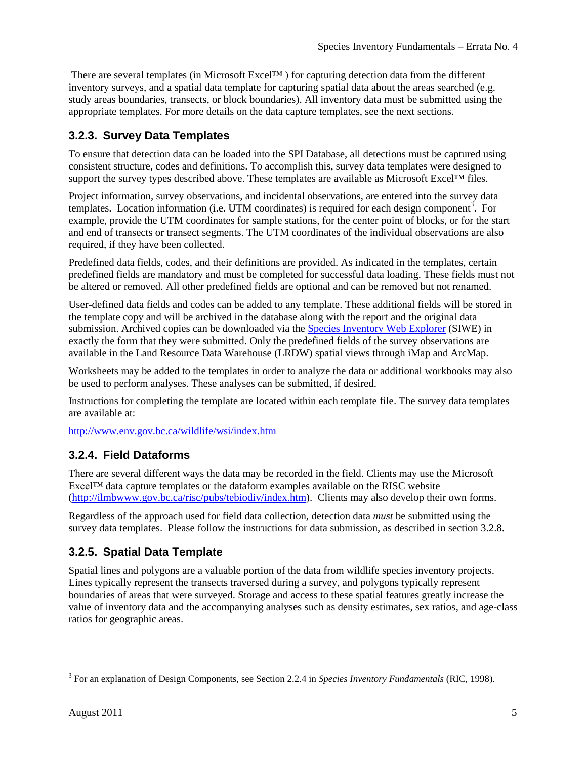There are several templates (in Microsoft Excel<sup>TM</sup>) for capturing detection data from the different inventory surveys, and a spatial data template for capturing spatial data about the areas searched (e.g. study areas boundaries, transects, or block boundaries). All inventory data must be submitted using the appropriate templates. For more details on the data capture templates, see the next sections.

## **3.2.3. Survey Data Templates**

To ensure that detection data can be loaded into the SPI Database, all detections must be captured using consistent structure, codes and definitions. To accomplish this, survey data templates were designed to support the survey types described above. These templates are available as Microsoft Excel™ files.

Project information, survey observations, and incidental observations, are entered into the survey data templates. Location information (i.e. UTM coordinates) is required for each design component<sup>3</sup>. For example, provide the UTM coordinates for sample stations, for the center point of blocks, or for the start and end of transects or transect segments. The UTM coordinates of the individual observations are also required, if they have been collected.

Predefined data fields, codes, and their definitions are provided. As indicated in the templates, certain predefined fields are mandatory and must be completed for successful data loading. These fields must not be altered or removed. All other predefined fields are optional and can be removed but not renamed.

User-defined data fields and codes can be added to any template. These additional fields will be stored in the template copy and will be archived in the database along with the report and the original data submission. Archived copies can be downloaded via the [Species Inventory Web Explorer](http://a100.gov.bc.ca/pub/siwe/) (SIWE) in exactly the form that they were submitted. Only the predefined fields of the survey observations are available in the Land Resource Data Warehouse (LRDW) spatial views through iMap and ArcMap.

Worksheets may be added to the templates in order to analyze the data or additional workbooks may also be used to perform analyses. These analyses can be submitted, if desired.

Instructions for completing the template are located within each template file. The survey data templates are available at:

<http://www.env.gov.bc.ca/wildlife/wsi/index.htm>

## **3.2.4. Field Dataforms**

There are several different ways the data may be recorded in the field. Clients may use the Microsoft Excel™ data capture templates or the dataform examples available on the RISC website [\(http://ilmbwww.gov.bc.ca/risc/pubs/tebiodiv/index.htm\)](http://ilmbwww.gov.bc.ca/risc/pubs/tebiodiv/index.htm). Clients may also develop their own forms.

Regardless of the approach used for field data collection, detection data *must* be submitted using the survey data templates. Please follow the instructions for data submission, as described in section 3.2.8.

## **3.2.5. Spatial Data Template**

Spatial lines and polygons are a valuable portion of the data from wildlife species inventory projects. Lines typically represent the transects traversed during a survey, and polygons typically represent boundaries of areas that were surveyed. Storage and access to these spatial features greatly increase the value of inventory data and the accompanying analyses such as density estimates, sex ratios, and age-class ratios for geographic areas.

 $\overline{a}$ 

<sup>3</sup> For an explanation of Design Components, see Section 2.2.4 in *Species Inventory Fundamentals* (RIC, 1998).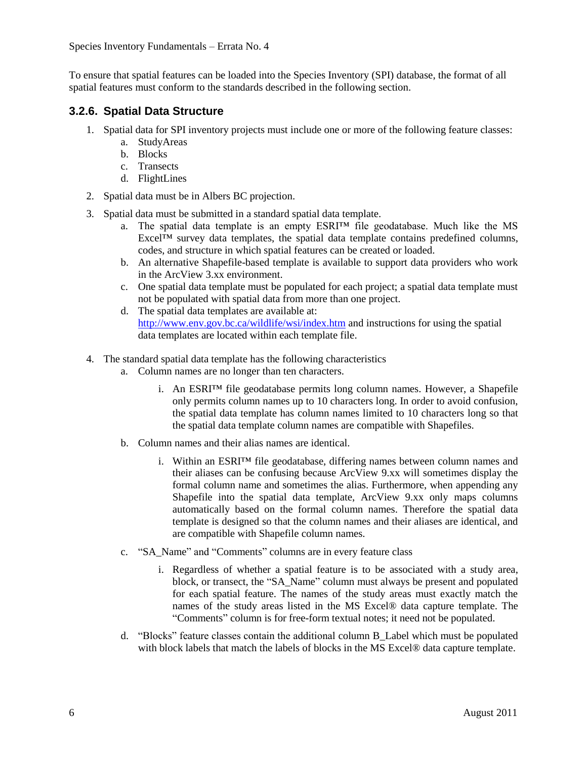Species Inventory Fundamentals – Errata No. 4

To ensure that spatial features can be loaded into the Species Inventory (SPI) database, the format of all spatial features must conform to the standards described in the following section.

## **3.2.6. Spatial Data Structure**

- 1. Spatial data for SPI inventory projects must include one or more of the following feature classes:
	- a. StudyAreas
	- b. Blocks
	- c. Transects
	- d. FlightLines
- 2. Spatial data must be in Albers BC projection.
- 3. Spatial data must be submitted in a standard spatial data template.
	- a. The spatial data template is an empty ESRI™ file geodatabase. Much like the MS  $\text{Excel}^{\text{TM}}$  survey data templates, the spatial data template contains predefined columns, codes, and structure in which spatial features can be created or loaded.
	- b. An alternative Shapefile-based template is available to support data providers who work in the ArcView 3.xx environment.
	- c. One spatial data template must be populated for each project; a spatial data template must not be populated with spatial data from more than one project.
	- d. The spatial data templates are available at: <http://www.env.gov.bc.ca/wildlife/wsi/index.htm> and instructions for using the spatial data templates are located within each template file.
- 4. The standard spatial data template has the following characteristics
	- a. Column names are no longer than ten characters.
		- i. An ESRI<sup>™</sup> file geodatabase permits long column names. However, a Shapefile only permits column names up to 10 characters long. In order to avoid confusion, the spatial data template has column names limited to 10 characters long so that the spatial data template column names are compatible with Shapefiles.
	- b. Column names and their alias names are identical.
		- i. Within an ESRI™ file geodatabase, differing names between column names and their aliases can be confusing because ArcView 9.xx will sometimes display the formal column name and sometimes the alias. Furthermore, when appending any Shapefile into the spatial data template, ArcView 9.xx only maps columns automatically based on the formal column names. Therefore the spatial data template is designed so that the column names and their aliases are identical, and are compatible with Shapefile column names.
	- c. "SA\_Name" and "Comments" columns are in every feature class
		- i. Regardless of whether a spatial feature is to be associated with a study area, block, or transect, the "SA\_Name" column must always be present and populated for each spatial feature. The names of the study areas must exactly match the names of the study areas listed in the MS Excel® data capture template. The "Comments" column is for free-form textual notes; it need not be populated.
	- d. "Blocks" feature classes contain the additional column B\_Label which must be populated with block labels that match the labels of blocks in the MS Excel® data capture template.